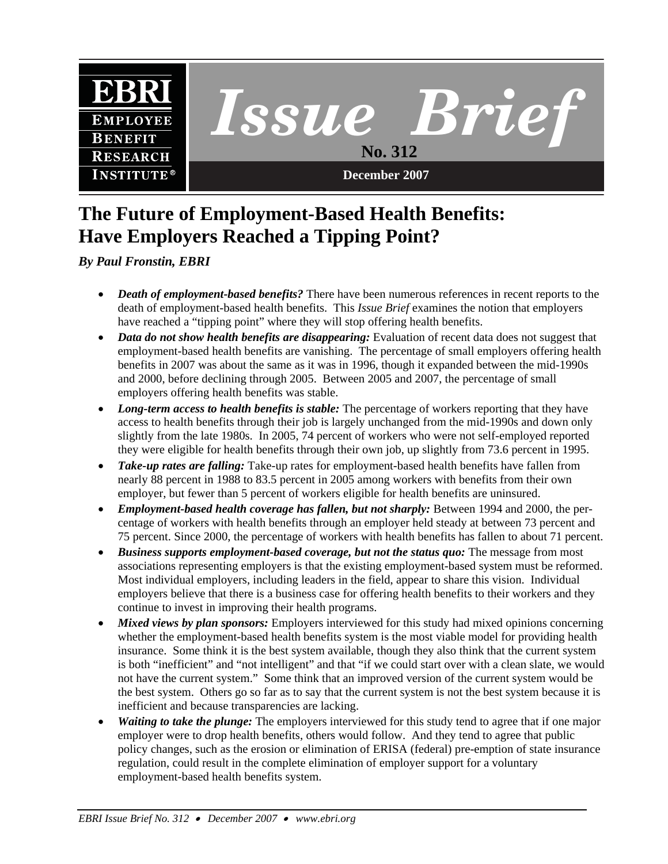

# **The Future of Employment-Based Health Benefits: Have Employers Reached a Tipping Point?**

*By Paul Fronstin, EBRI* 

- *Death of employment-based benefits?* There have been numerous references in recent reports to the death of employment-based health benefits. This *Issue Brief* examines the notion that employers have reached a "tipping point" where they will stop offering health benefits.
- *Data do not show health benefits are disappearing:* Evaluation of recent data does not suggest that employment-based health benefits are vanishing. The percentage of small employers offering health benefits in 2007 was about the same as it was in 1996, though it expanded between the mid-1990s and 2000, before declining through 2005. Between 2005 and 2007, the percentage of small employers offering health benefits was stable.
- *Long-term access to health benefits is stable:* The percentage of workers reporting that they have access to health benefits through their job is largely unchanged from the mid-1990s and down only slightly from the late 1980s. In 2005, 74 percent of workers who were not self-employed reported they were eligible for health benefits through their own job, up slightly from 73.6 percent in 1995.
- **Take-up rates are falling:** Take-up rates for employment-based health benefits have fallen from nearly 88 percent in 1988 to 83.5 percent in 2005 among workers with benefits from their own employer, but fewer than 5 percent of workers eligible for health benefits are uninsured.
- *Employment-based health coverage has fallen, but not sharply:* Between 1994 and 2000, the percentage of workers with health benefits through an employer held steady at between 73 percent and 75 percent. Since 2000, the percentage of workers with health benefits has fallen to about 71 percent.
- *Business supports employment-based coverage, but not the status quo:* The message from most associations representing employers is that the existing employment-based system must be reformed. Most individual employers, including leaders in the field, appear to share this vision. Individual employers believe that there is a business case for offering health benefits to their workers and they continue to invest in improving their health programs.
- *Mixed views by plan sponsors:* Employers interviewed for this study had mixed opinions concerning whether the employment-based health benefits system is the most viable model for providing health insurance. Some think it is the best system available, though they also think that the current system is both "inefficient" and "not intelligent" and that "if we could start over with a clean slate, we would not have the current system." Some think that an improved version of the current system would be the best system. Others go so far as to say that the current system is not the best system because it is inefficient and because transparencies are lacking.
- *Waiting to take the plunge:* The employers interviewed for this study tend to agree that if one major employer were to drop health benefits, others would follow. And they tend to agree that public policy changes, such as the erosion or elimination of ERISA (federal) pre-emption of state insurance regulation, could result in the complete elimination of employer support for a voluntary employment-based health benefits system.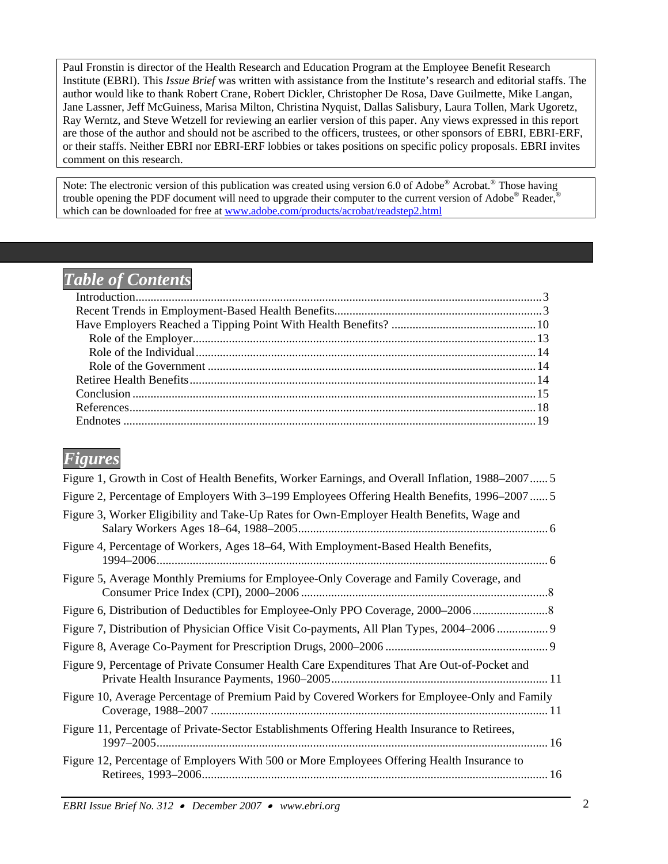Paul Fronstin is director of the Health Research and Education Program at the Employee Benefit Research Institute (EBRI). This *Issue Brief* was written with assistance from the Institute's research and editorial staffs. The author would like to thank Robert Crane, Robert Dickler, Christopher De Rosa, Dave Guilmette, Mike Langan, Jane Lassner, Jeff McGuiness, Marisa Milton, Christina Nyquist, Dallas Salisbury, Laura Tollen, Mark Ugoretz, Ray Werntz, and Steve Wetzell for reviewing an earlier version of this paper. Any views expressed in this report are those of the author and should not be ascribed to the officers, trustees, or other sponsors of EBRI, EBRI-ERF, or their staffs. Neither EBRI nor EBRI-ERF lobbies or takes positions on specific policy proposals. EBRI invites comment on this research.

Note: The electronic version of this publication was created using version 6.0 of Adobe® Acrobat.® Those having trouble opening the PDF document will need to upgrade their computer to the current version of Adobe® Reader,<sup>®</sup> which can be downloaded for free at www.adobe.com/products/acrobat/readstep2.html

## *Table of Contents*

### *Figures*

| Figure 1, Growth in Cost of Health Benefits, Worker Earnings, and Overall Inflation, 1988–2007 5 |
|--------------------------------------------------------------------------------------------------|
| Figure 2, Percentage of Employers With 3–199 Employees Offering Health Benefits, 1996–2007  5    |
| Figure 3, Worker Eligibility and Take-Up Rates for Own-Employer Health Benefits, Wage and        |
| Figure 4, Percentage of Workers, Ages 18-64, With Employment-Based Health Benefits,              |
| Figure 5, Average Monthly Premiums for Employee-Only Coverage and Family Coverage, and           |
|                                                                                                  |
| Figure 7, Distribution of Physician Office Visit Co-payments, All Plan Types, 2004-2006  9       |
|                                                                                                  |
| Figure 9, Percentage of Private Consumer Health Care Expenditures That Are Out-of-Pocket and     |
| Figure 10, Average Percentage of Premium Paid by Covered Workers for Employee-Only and Family    |
| Figure 11, Percentage of Private-Sector Establishments Offering Health Insurance to Retirees,    |
| Figure 12, Percentage of Employers With 500 or More Employees Offering Health Insurance to       |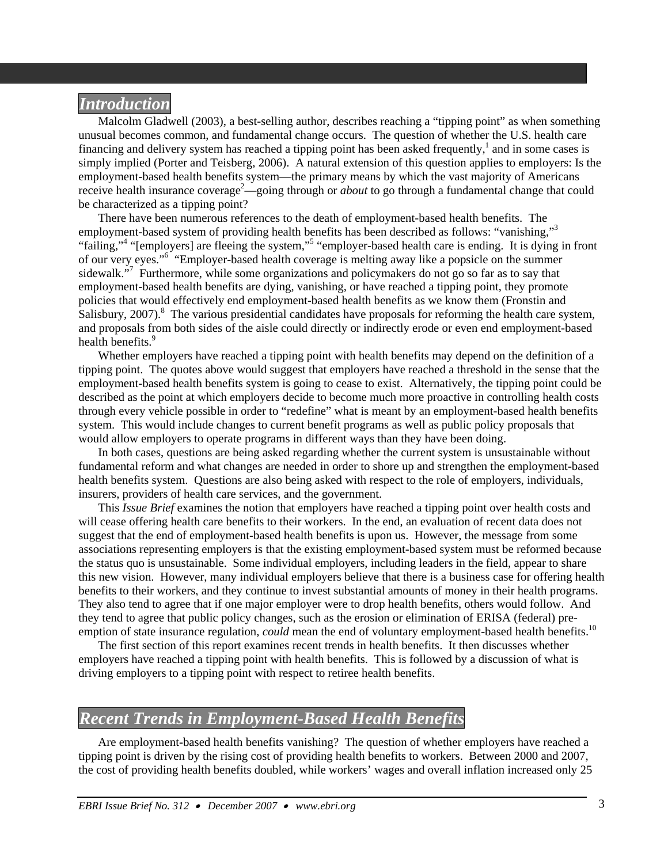## *Introduction*

 Malcolm Gladwell (2003), a best-selling author, describes reaching a "tipping point" as when something unusual becomes common, and fundamental change occurs. The question of whether the U.S. health care financing and delivery system has reached a tipping point has been asked frequently,<sup>1</sup> and in some cases is simply implied (Porter and Teisberg, 2006). A natural extension of this question applies to employers: Is the employment-based health benefits system—the primary means by which the vast majority of Americans receive health insurance coverage<sup>2</sup>—going through or *about* to go through a fundamental change that could be characterized as a tipping point?

 There have been numerous references to the death of employment-based health benefits. The employment-based system of providing health benefits has been described as follows: "vanishing,"3 "failing,"<sup>4</sup> "[employers] are fleeing the system,"<sup>5</sup> "employer-based health care is ending. It is dying in front of our very eyes."<sup>6</sup> "Employer-based health coverage is melting away like a popsicle on the summer sidewalk."<sup>7</sup> Furthermore, while some organizations and policymakers do not go so far as to say that employment-based health benefits are dying, vanishing, or have reached a tipping point, they promote policies that would effectively end employment-based health benefits as we know them (Fronstin and Salisbury, 2007).<sup>8</sup> The various presidential candidates have proposals for reforming the health care system, and proposals from both sides of the aisle could directly or indirectly erode or even end employment-based health benefits.<sup>9</sup>

 Whether employers have reached a tipping point with health benefits may depend on the definition of a tipping point. The quotes above would suggest that employers have reached a threshold in the sense that the employment-based health benefits system is going to cease to exist. Alternatively, the tipping point could be described as the point at which employers decide to become much more proactive in controlling health costs through every vehicle possible in order to "redefine" what is meant by an employment-based health benefits system. This would include changes to current benefit programs as well as public policy proposals that would allow employers to operate programs in different ways than they have been doing.

 In both cases, questions are being asked regarding whether the current system is unsustainable without fundamental reform and what changes are needed in order to shore up and strengthen the employment-based health benefits system. Questions are also being asked with respect to the role of employers, individuals, insurers, providers of health care services, and the government.

 This *Issue Brief* examines the notion that employers have reached a tipping point over health costs and will cease offering health care benefits to their workers. In the end, an evaluation of recent data does not suggest that the end of employment-based health benefits is upon us. However, the message from some associations representing employers is that the existing employment-based system must be reformed because the status quo is unsustainable. Some individual employers, including leaders in the field, appear to share this new vision. However, many individual employers believe that there is a business case for offering health benefits to their workers, and they continue to invest substantial amounts of money in their health programs. They also tend to agree that if one major employer were to drop health benefits, others would follow. And they tend to agree that public policy changes, such as the erosion or elimination of ERISA (federal) preemption of state insurance regulation, *could* mean the end of voluntary employment-based health benefits.<sup>10</sup>

 The first section of this report examines recent trends in health benefits. It then discusses whether employers have reached a tipping point with health benefits. This is followed by a discussion of what is driving employers to a tipping point with respect to retiree health benefits.

## *Recent Trends in Employment-Based Health Benefits*

 Are employment-based health benefits vanishing? The question of whether employers have reached a tipping point is driven by the rising cost of providing health benefits to workers. Between 2000 and 2007, the cost of providing health benefits doubled, while workers' wages and overall inflation increased only 25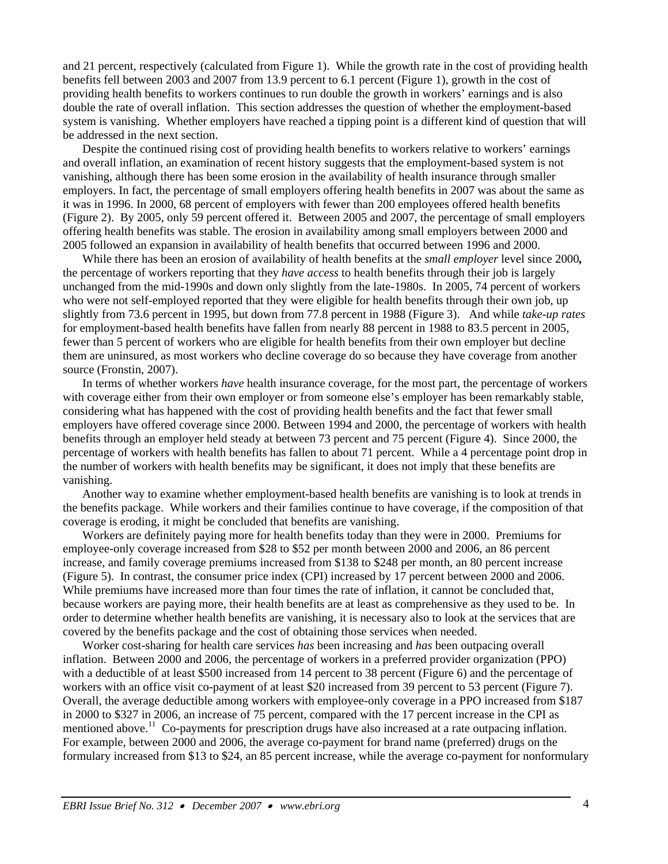and 21 percent, respectively (calculated from Figure 1). While the growth rate in the cost of providing health benefits fell between 2003 and 2007 from 13.9 percent to 6.1 percent (Figure 1), growth in the cost of providing health benefits to workers continues to run double the growth in workers' earnings and is also double the rate of overall inflation. This section addresses the question of whether the employment-based system is vanishing. Whether employers have reached a tipping point is a different kind of question that will be addressed in the next section.

 Despite the continued rising cost of providing health benefits to workers relative to workers' earnings and overall inflation, an examination of recent history suggests that the employment-based system is not vanishing, although there has been some erosion in the availability of health insurance through smaller employers. In fact, the percentage of small employers offering health benefits in 2007 was about the same as it was in 1996. In 2000, 68 percent of employers with fewer than 200 employees offered health benefits (Figure 2). By 2005, only 59 percent offered it. Between 2005 and 2007, the percentage of small employers offering health benefits was stable. The erosion in availability among small employers between 2000 and 2005 followed an expansion in availability of health benefits that occurred between 1996 and 2000.

 While there has been an erosion of availability of health benefits at the *small employer* level since 2000*,* the percentage of workers reporting that they *have access* to health benefits through their job is largely unchanged from the mid-1990s and down only slightly from the late-1980s. In 2005, 74 percent of workers who were not self-employed reported that they were eligible for health benefits through their own job, up slightly from 73.6 percent in 1995, but down from 77.8 percent in 1988 (Figure 3). And while *take-up rates* for employment-based health benefits have fallen from nearly 88 percent in 1988 to 83.5 percent in 2005, fewer than 5 percent of workers who are eligible for health benefits from their own employer but decline them are uninsured, as most workers who decline coverage do so because they have coverage from another source (Fronstin, 2007).

 In terms of whether workers *have* health insurance coverage, for the most part, the percentage of workers with coverage either from their own employer or from someone else's employer has been remarkably stable, considering what has happened with the cost of providing health benefits and the fact that fewer small employers have offered coverage since 2000. Between 1994 and 2000, the percentage of workers with health benefits through an employer held steady at between 73 percent and 75 percent (Figure 4). Since 2000, the percentage of workers with health benefits has fallen to about 71 percent. While a 4 percentage point drop in the number of workers with health benefits may be significant, it does not imply that these benefits are vanishing.

 Another way to examine whether employment-based health benefits are vanishing is to look at trends in the benefits package. While workers and their families continue to have coverage, if the composition of that coverage is eroding, it might be concluded that benefits are vanishing.

 Workers are definitely paying more for health benefits today than they were in 2000. Premiums for employee-only coverage increased from \$28 to \$52 per month between 2000 and 2006, an 86 percent increase, and family coverage premiums increased from \$138 to \$248 per month, an 80 percent increase (Figure 5). In contrast, the consumer price index (CPI) increased by 17 percent between 2000 and 2006. While premiums have increased more than four times the rate of inflation, it cannot be concluded that, because workers are paying more, their health benefits are at least as comprehensive as they used to be. In order to determine whether health benefits are vanishing, it is necessary also to look at the services that are covered by the benefits package and the cost of obtaining those services when needed.

 Worker cost-sharing for health care services *has* been increasing and *has* been outpacing overall inflation. Between 2000 and 2006, the percentage of workers in a preferred provider organization (PPO) with a deductible of at least \$500 increased from 14 percent to 38 percent (Figure 6) and the percentage of workers with an office visit co-payment of at least \$20 increased from 39 percent to 53 percent (Figure 7). Overall, the average deductible among workers with employee-only coverage in a PPO increased from \$187 in 2000 to \$327 in 2006, an increase of 75 percent, compared with the 17 percent increase in the CPI as mentioned above.<sup>11</sup> Co-payments for prescription drugs have also increased at a rate outpacing inflation. For example, between 2000 and 2006, the average co-payment for brand name (preferred) drugs on the formulary increased from \$13 to \$24, an 85 percent increase, while the average co-payment for nonformulary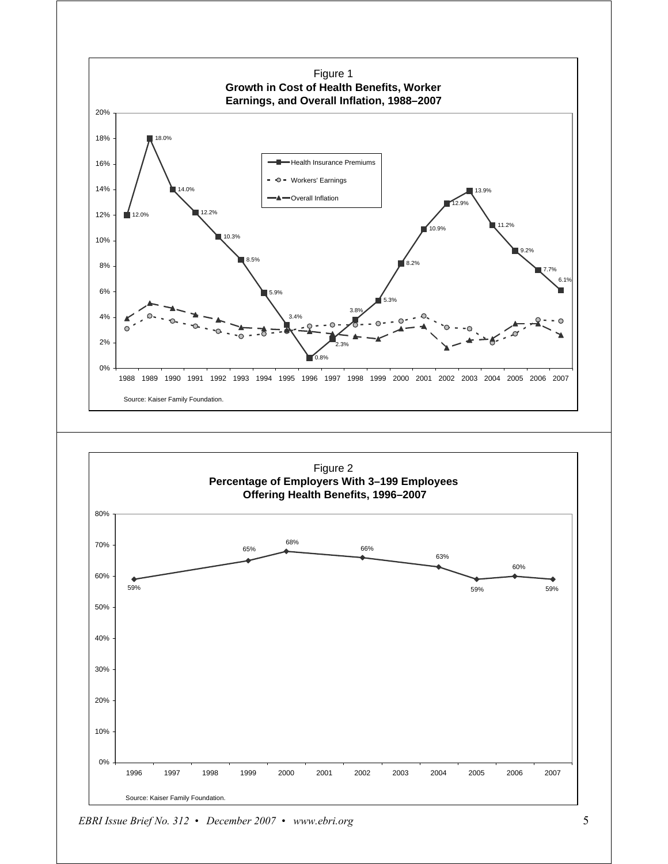



*EBRI Issue Brief No. 312 • December 2007 • www.ebri.org* 5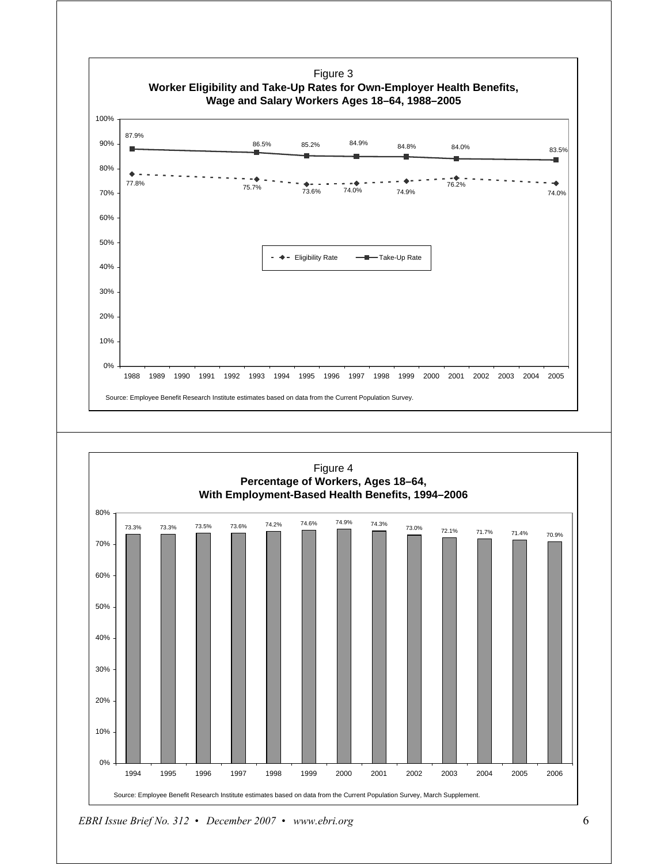



*EBRI Issue Brief No. 312 • December 2007 • www.ebri.org* 6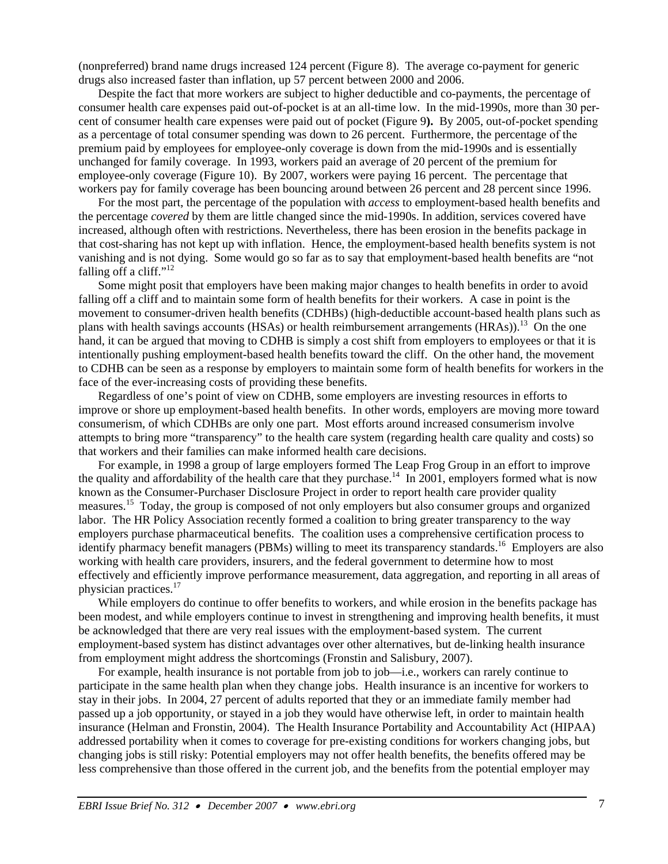(nonpreferred) brand name drugs increased 124 percent (Figure 8). The average co-payment for generic drugs also increased faster than inflation, up 57 percent between 2000 and 2006.

 Despite the fact that more workers are subject to higher deductible and co-payments, the percentage of consumer health care expenses paid out-of-pocket is at an all-time low. In the mid-1990s, more than 30 percent of consumer health care expenses were paid out of pocket (Figure 9**).** By 2005, out-of-pocket spending as a percentage of total consumer spending was down to 26 percent. Furthermore, the percentage of the premium paid by employees for employee-only coverage is down from the mid-1990s and is essentially unchanged for family coverage. In 1993, workers paid an average of 20 percent of the premium for employee-only coverage (Figure 10). By 2007, workers were paying 16 percent. The percentage that workers pay for family coverage has been bouncing around between 26 percent and 28 percent since 1996.

 For the most part, the percentage of the population with *access* to employment-based health benefits and the percentage *covered* by them are little changed since the mid-1990s. In addition, services covered have increased, although often with restrictions. Nevertheless, there has been erosion in the benefits package in that cost-sharing has not kept up with inflation. Hence, the employment-based health benefits system is not vanishing and is not dying. Some would go so far as to say that employment-based health benefits are "not falling off a cliff."<sup>12</sup>

 Some might posit that employers have been making major changes to health benefits in order to avoid falling off a cliff and to maintain some form of health benefits for their workers. A case in point is the movement to consumer-driven health benefits (CDHBs) (high-deductible account-based health plans such as plans with health savings accounts (HSAs) or health reimbursement arrangements (HRAs)).<sup>13</sup> On the one hand, it can be argued that moving to CDHB is simply a cost shift from employers to employees or that it is intentionally pushing employment-based health benefits toward the cliff. On the other hand, the movement to CDHB can be seen as a response by employers to maintain some form of health benefits for workers in the face of the ever-increasing costs of providing these benefits.

 Regardless of one's point of view on CDHB, some employers are investing resources in efforts to improve or shore up employment-based health benefits. In other words, employers are moving more toward consumerism, of which CDHBs are only one part. Most efforts around increased consumerism involve attempts to bring more "transparency" to the health care system (regarding health care quality and costs) so that workers and their families can make informed health care decisions.

 For example, in 1998 a group of large employers formed The Leap Frog Group in an effort to improve the quality and affordability of the health care that they purchase.<sup>14</sup> In 2001, employers formed what is now known as the Consumer-Purchaser Disclosure Project in order to report health care provider quality measures.15 Today, the group is composed of not only employers but also consumer groups and organized labor. The HR Policy Association recently formed a coalition to bring greater transparency to the way employers purchase pharmaceutical benefits. The coalition uses a comprehensive certification process to identify pharmacy benefit managers (PBMs) willing to meet its transparency standards.<sup>16</sup> Employers are also working with health care providers, insurers, and the federal government to determine how to most effectively and efficiently improve performance measurement, data aggregation, and reporting in all areas of physician practices.<sup>17</sup>

 While employers do continue to offer benefits to workers, and while erosion in the benefits package has been modest, and while employers continue to invest in strengthening and improving health benefits, it must be acknowledged that there are very real issues with the employment-based system. The current employment-based system has distinct advantages over other alternatives, but de-linking health insurance from employment might address the shortcomings (Fronstin and Salisbury, 2007).

 For example, health insurance is not portable from job to job—i.e., workers can rarely continue to participate in the same health plan when they change jobs. Health insurance is an incentive for workers to stay in their jobs. In 2004, 27 percent of adults reported that they or an immediate family member had passed up a job opportunity, or stayed in a job they would have otherwise left, in order to maintain health insurance (Helman and Fronstin, 2004). The Health Insurance Portability and Accountability Act (HIPAA) addressed portability when it comes to coverage for pre-existing conditions for workers changing jobs, but changing jobs is still risky: Potential employers may not offer health benefits, the benefits offered may be less comprehensive than those offered in the current job, and the benefits from the potential employer may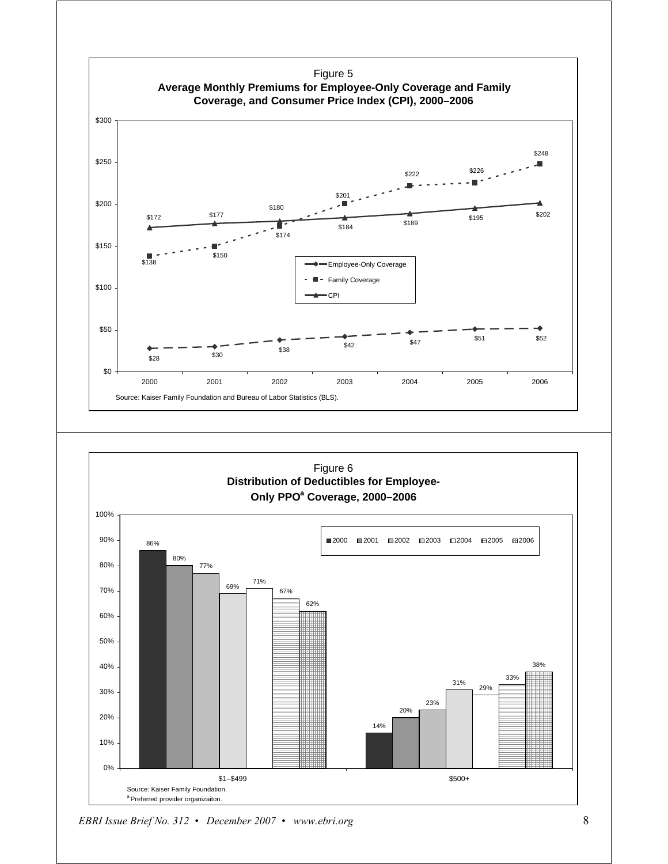

*EBRI Issue Brief No. 312 • December 2007 • www.ebri.org* 8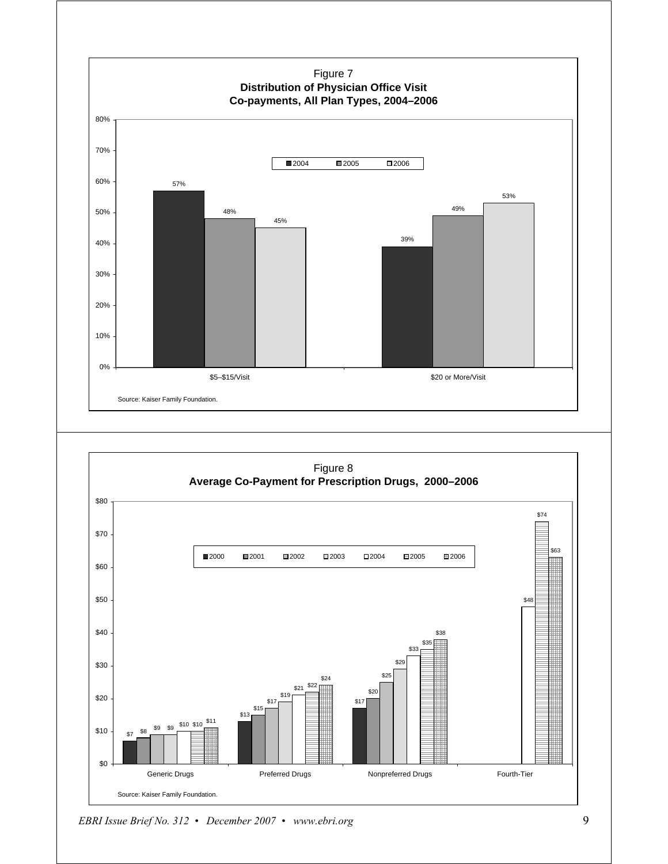



*EBRI Issue Brief No. 312 • December 2007 • www.ebri.org* 9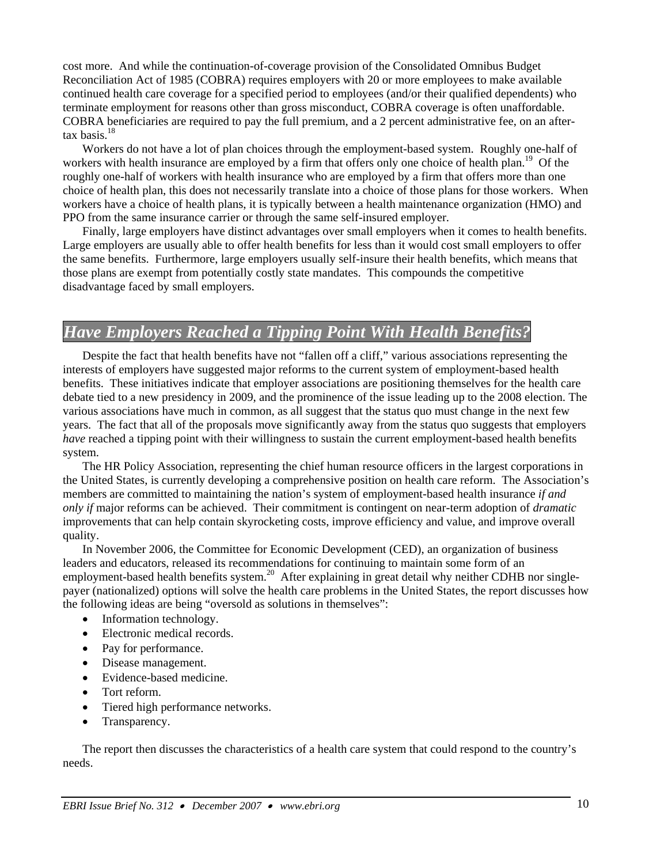cost more. And while the continuation-of-coverage provision of the Consolidated Omnibus Budget Reconciliation Act of 1985 (COBRA) requires employers with 20 or more employees to make available continued health care coverage for a specified period to employees (and/or their qualified dependents) who terminate employment for reasons other than gross misconduct, COBRA coverage is often unaffordable. COBRA beneficiaries are required to pay the full premium, and a 2 percent administrative fee, on an aftertax basis.<sup>18</sup>

 Workers do not have a lot of plan choices through the employment-based system. Roughly one-half of workers with health insurance are employed by a firm that offers only one choice of health plan.<sup>19</sup> Of the roughly one-half of workers with health insurance who are employed by a firm that offers more than one choice of health plan, this does not necessarily translate into a choice of those plans for those workers. When workers have a choice of health plans, it is typically between a health maintenance organization (HMO) and PPO from the same insurance carrier or through the same self-insured employer.

 Finally, large employers have distinct advantages over small employers when it comes to health benefits. Large employers are usually able to offer health benefits for less than it would cost small employers to offer the same benefits. Furthermore, large employers usually self-insure their health benefits, which means that those plans are exempt from potentially costly state mandates. This compounds the competitive disadvantage faced by small employers.

## *Have Employers Reached a Tipping Point With Health Benefits?*

 Despite the fact that health benefits have not "fallen off a cliff," various associations representing the interests of employers have suggested major reforms to the current system of employment-based health benefits. These initiatives indicate that employer associations are positioning themselves for the health care debate tied to a new presidency in 2009, and the prominence of the issue leading up to the 2008 election. The various associations have much in common, as all suggest that the status quo must change in the next few years. The fact that all of the proposals move significantly away from the status quo suggests that employers *have* reached a tipping point with their willingness to sustain the current employment-based health benefits system.

 The HR Policy Association, representing the chief human resource officers in the largest corporations in the United States, is currently developing a comprehensive position on health care reform. The Association's members are committed to maintaining the nation's system of employment-based health insurance *if and only if* major reforms can be achieved. Their commitment is contingent on near-term adoption of *dramatic* improvements that can help contain skyrocketing costs, improve efficiency and value, and improve overall quality.

 In November 2006, the Committee for Economic Development (CED), an organization of business leaders and educators, released its recommendations for continuing to maintain some form of an employment-based health benefits system.<sup>20</sup> After explaining in great detail why neither CDHB nor singlepayer (nationalized) options will solve the health care problems in the United States, the report discusses how the following ideas are being "oversold as solutions in themselves":

- Information technology.
- Electronic medical records.
- Pay for performance.
- Disease management.
- Evidence-based medicine.
- Tort reform.
- Tiered high performance networks.
- Transparency.

 The report then discusses the characteristics of a health care system that could respond to the country's needs.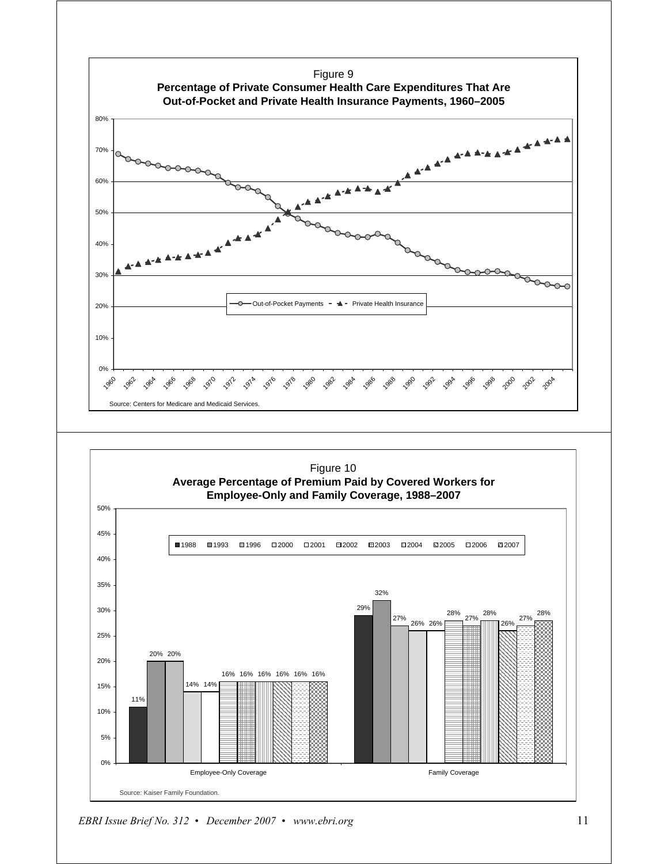

*EBRI Issue Brief No. 312 • December 2007 • www.ebri.org* 11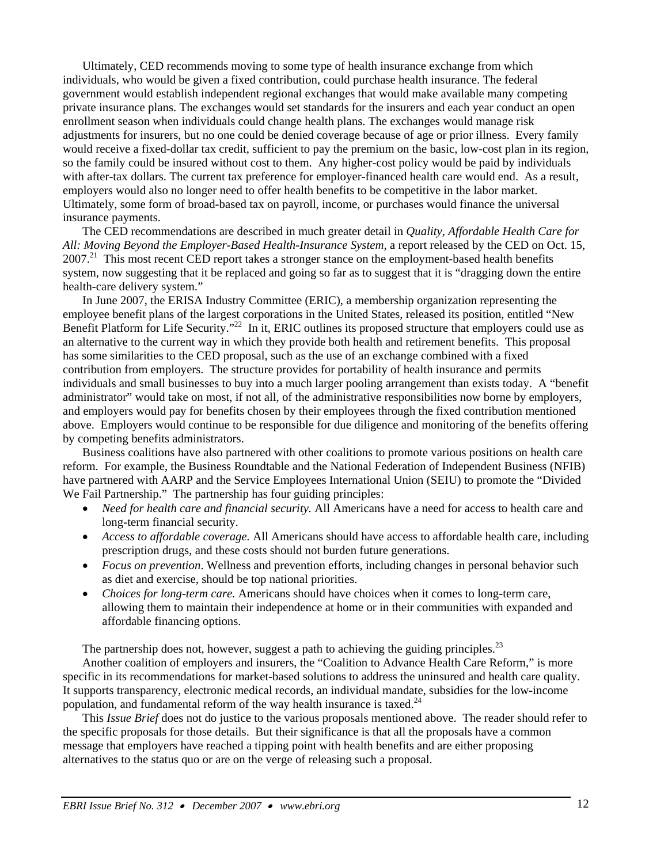Ultimately, CED recommends moving to some type of health insurance exchange from which individuals, who would be given a fixed contribution, could purchase health insurance. The federal government would establish independent regional exchanges that would make available many competing private insurance plans. The exchanges would set standards for the insurers and each year conduct an open enrollment season when individuals could change health plans. The exchanges would manage risk adjustments for insurers, but no one could be denied coverage because of age or prior illness. Every family would receive a fixed-dollar tax credit, sufficient to pay the premium on the basic, low-cost plan in its region, so the family could be insured without cost to them. Any higher-cost policy would be paid by individuals with after-tax dollars. The current tax preference for employer-financed health care would end. As a result, employers would also no longer need to offer health benefits to be competitive in the labor market. Ultimately, some form of broad-based tax on payroll, income, or purchases would finance the universal insurance payments.

 The CED recommendations are described in much greater detail in *Quality, Affordable Health Care for All: Moving Beyond the Employer-Based Health-Insurance System,* a report released by the CED on Oct. 15, 2007<sup>21</sup> This most recent CED report takes a stronger stance on the employment-based health benefits system, now suggesting that it be replaced and going so far as to suggest that it is "dragging down the entire health-care delivery system."

 In June 2007, the ERISA Industry Committee (ERIC), a membership organization representing the employee benefit plans of the largest corporations in the United States, released its position, entitled "New Benefit Platform for Life Security."<sup>22</sup> In it, ERIC outlines its proposed structure that employers could use as an alternative to the current way in which they provide both health and retirement benefits. This proposal has some similarities to the CED proposal, such as the use of an exchange combined with a fixed contribution from employers. The structure provides for portability of health insurance and permits individuals and small businesses to buy into a much larger pooling arrangement than exists today. A "benefit administrator" would take on most, if not all, of the administrative responsibilities now borne by employers, and employers would pay for benefits chosen by their employees through the fixed contribution mentioned above. Employers would continue to be responsible for due diligence and monitoring of the benefits offering by competing benefits administrators.

 Business coalitions have also partnered with other coalitions to promote various positions on health care reform. For example, the Business Roundtable and the National Federation of Independent Business (NFIB) have partnered with AARP and the Service Employees International Union (SEIU) to promote the "Divided We Fail Partnership." The partnership has four guiding principles:

- *Need for health care and financial security.* All Americans have a need for access to health care and long-term financial security.
- *Access to affordable coverage.* All Americans should have access to affordable health care, including prescription drugs, and these costs should not burden future generations.
- *Focus on prevention*. Wellness and prevention efforts, including changes in personal behavior such as diet and exercise, should be top national priorities.
- *Choices for long-term care.* Americans should have choices when it comes to long-term care, allowing them to maintain their independence at home or in their communities with expanded and affordable financing options.

The partnership does not, however, suggest a path to achieving the guiding principles.<sup>23</sup>

 Another coalition of employers and insurers, the "Coalition to Advance Health Care Reform," is more specific in its recommendations for market-based solutions to address the uninsured and health care quality. It supports transparency, electronic medical records, an individual mandate, subsidies for the low-income population, and fundamental reform of the way health insurance is taxed.<sup>24</sup>

 This *Issue Brief* does not do justice to the various proposals mentioned above. The reader should refer to the specific proposals for those details. But their significance is that all the proposals have a common message that employers have reached a tipping point with health benefits and are either proposing alternatives to the status quo or are on the verge of releasing such a proposal.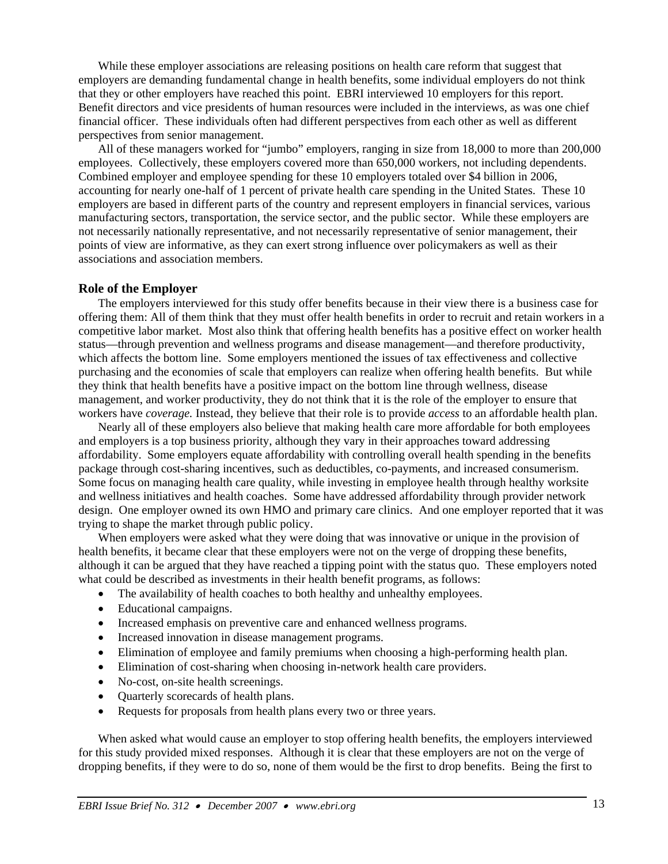While these employer associations are releasing positions on health care reform that suggest that employers are demanding fundamental change in health benefits, some individual employers do not think that they or other employers have reached this point. EBRI interviewed 10 employers for this report. Benefit directors and vice presidents of human resources were included in the interviews, as was one chief financial officer. These individuals often had different perspectives from each other as well as different perspectives from senior management.

 All of these managers worked for "jumbo" employers, ranging in size from 18,000 to more than 200,000 employees. Collectively, these employers covered more than 650,000 workers, not including dependents. Combined employer and employee spending for these 10 employers totaled over \$4 billion in 2006, accounting for nearly one-half of 1 percent of private health care spending in the United States. These 10 employers are based in different parts of the country and represent employers in financial services, various manufacturing sectors, transportation, the service sector, and the public sector. While these employers are not necessarily nationally representative, and not necessarily representative of senior management, their points of view are informative, as they can exert strong influence over policymakers as well as their associations and association members.

#### **Role of the Employer**

 The employers interviewed for this study offer benefits because in their view there is a business case for offering them: All of them think that they must offer health benefits in order to recruit and retain workers in a competitive labor market. Most also think that offering health benefits has a positive effect on worker health status—through prevention and wellness programs and disease management—and therefore productivity, which affects the bottom line. Some employers mentioned the issues of tax effectiveness and collective purchasing and the economies of scale that employers can realize when offering health benefits. But while they think that health benefits have a positive impact on the bottom line through wellness, disease management, and worker productivity, they do not think that it is the role of the employer to ensure that workers have *coverage.* Instead, they believe that their role is to provide *access* to an affordable health plan.

 Nearly all of these employers also believe that making health care more affordable for both employees and employers is a top business priority, although they vary in their approaches toward addressing affordability. Some employers equate affordability with controlling overall health spending in the benefits package through cost-sharing incentives, such as deductibles, co-payments, and increased consumerism. Some focus on managing health care quality, while investing in employee health through healthy worksite and wellness initiatives and health coaches. Some have addressed affordability through provider network design. One employer owned its own HMO and primary care clinics. And one employer reported that it was trying to shape the market through public policy.

 When employers were asked what they were doing that was innovative or unique in the provision of health benefits, it became clear that these employers were not on the verge of dropping these benefits, although it can be argued that they have reached a tipping point with the status quo. These employers noted what could be described as investments in their health benefit programs, as follows:

- The availability of health coaches to both healthy and unhealthy employees.
- Educational campaigns.
- Increased emphasis on preventive care and enhanced wellness programs.
- Increased innovation in disease management programs.
- Elimination of employee and family premiums when choosing a high-performing health plan.
- Elimination of cost-sharing when choosing in-network health care providers.
- No-cost, on-site health screenings.
- Quarterly scorecards of health plans.
- Requests for proposals from health plans every two or three years.

 When asked what would cause an employer to stop offering health benefits, the employers interviewed for this study provided mixed responses. Although it is clear that these employers are not on the verge of dropping benefits, if they were to do so, none of them would be the first to drop benefits. Being the first to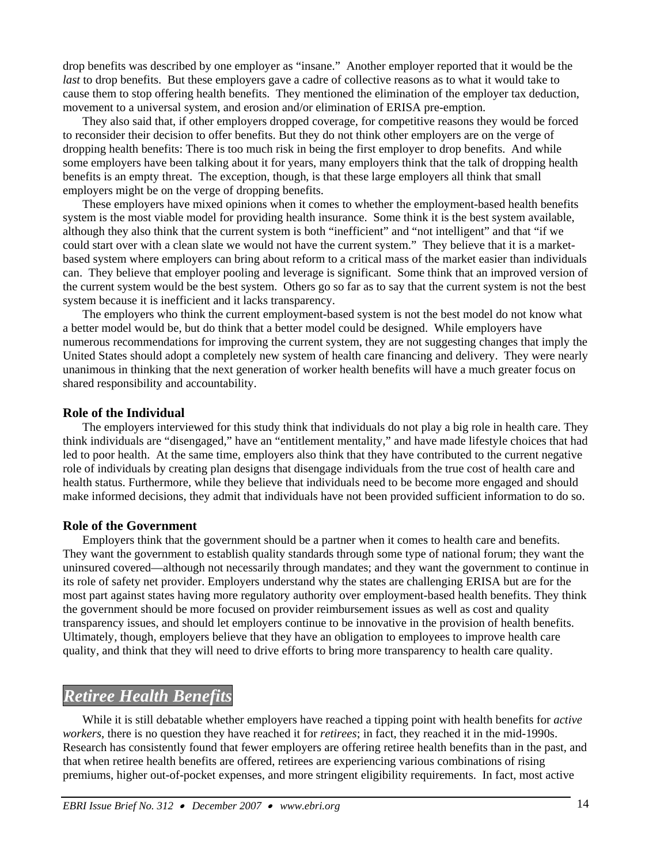drop benefits was described by one employer as "insane." Another employer reported that it would be the *last* to drop benefits. But these employers gave a cadre of collective reasons as to what it would take to cause them to stop offering health benefits. They mentioned the elimination of the employer tax deduction, movement to a universal system, and erosion and/or elimination of ERISA pre-emption.

 They also said that, if other employers dropped coverage, for competitive reasons they would be forced to reconsider their decision to offer benefits. But they do not think other employers are on the verge of dropping health benefits: There is too much risk in being the first employer to drop benefits. And while some employers have been talking about it for years, many employers think that the talk of dropping health benefits is an empty threat. The exception, though, is that these large employers all think that small employers might be on the verge of dropping benefits.

 These employers have mixed opinions when it comes to whether the employment-based health benefits system is the most viable model for providing health insurance. Some think it is the best system available, although they also think that the current system is both "inefficient" and "not intelligent" and that "if we could start over with a clean slate we would not have the current system." They believe that it is a marketbased system where employers can bring about reform to a critical mass of the market easier than individuals can. They believe that employer pooling and leverage is significant. Some think that an improved version of the current system would be the best system. Others go so far as to say that the current system is not the best system because it is inefficient and it lacks transparency.

 The employers who think the current employment-based system is not the best model do not know what a better model would be, but do think that a better model could be designed. While employers have numerous recommendations for improving the current system, they are not suggesting changes that imply the United States should adopt a completely new system of health care financing and delivery. They were nearly unanimous in thinking that the next generation of worker health benefits will have a much greater focus on shared responsibility and accountability.

#### **Role of the Individual**

 The employers interviewed for this study think that individuals do not play a big role in health care. They think individuals are "disengaged," have an "entitlement mentality," and have made lifestyle choices that had led to poor health. At the same time, employers also think that they have contributed to the current negative role of individuals by creating plan designs that disengage individuals from the true cost of health care and health status. Furthermore, while they believe that individuals need to be become more engaged and should make informed decisions, they admit that individuals have not been provided sufficient information to do so.

#### **Role of the Government**

 Employers think that the government should be a partner when it comes to health care and benefits. They want the government to establish quality standards through some type of national forum; they want the uninsured covered—although not necessarily through mandates; and they want the government to continue in its role of safety net provider. Employers understand why the states are challenging ERISA but are for the most part against states having more regulatory authority over employment-based health benefits. They think the government should be more focused on provider reimbursement issues as well as cost and quality transparency issues, and should let employers continue to be innovative in the provision of health benefits. Ultimately, though, employers believe that they have an obligation to employees to improve health care quality, and think that they will need to drive efforts to bring more transparency to health care quality.

## *Retiree Health Benefits*

 While it is still debatable whether employers have reached a tipping point with health benefits for *active workers*, there is no question they have reached it for *retirees*; in fact, they reached it in the mid-1990s. Research has consistently found that fewer employers are offering retiree health benefits than in the past, and that when retiree health benefits are offered, retirees are experiencing various combinations of rising premiums, higher out-of-pocket expenses, and more stringent eligibility requirements. In fact, most active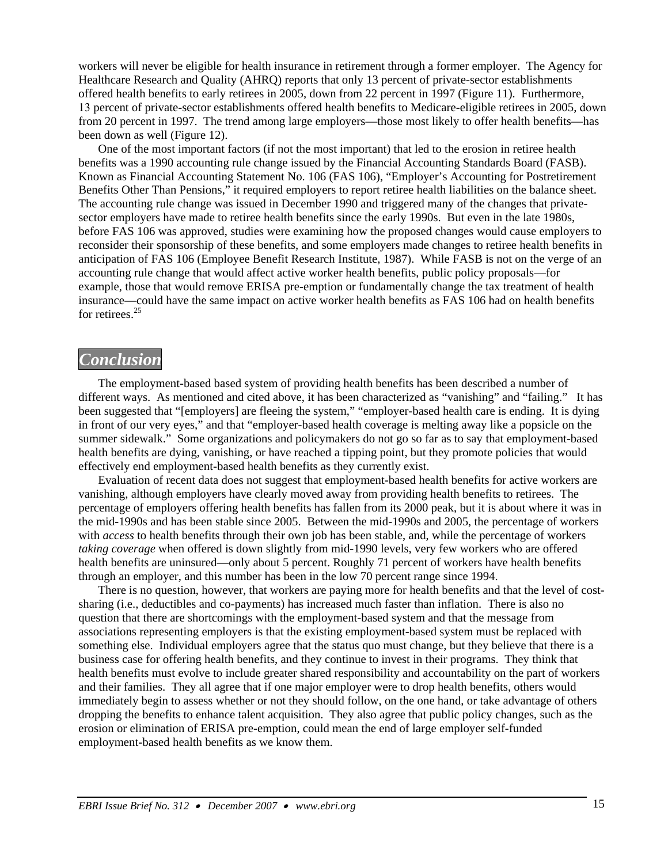workers will never be eligible for health insurance in retirement through a former employer. The Agency for Healthcare Research and Quality (AHRQ) reports that only 13 percent of private-sector establishments offered health benefits to early retirees in 2005, down from 22 percent in 1997 (Figure 11). Furthermore, 13 percent of private-sector establishments offered health benefits to Medicare-eligible retirees in 2005, down from 20 percent in 1997. The trend among large employers—those most likely to offer health benefits—has been down as well (Figure 12).

 One of the most important factors (if not the most important) that led to the erosion in retiree health benefits was a 1990 accounting rule change issued by the Financial Accounting Standards Board (FASB). Known as Financial Accounting Statement No. 106 (FAS 106), "Employer's Accounting for Postretirement Benefits Other Than Pensions," it required employers to report retiree health liabilities on the balance sheet. The accounting rule change was issued in December 1990 and triggered many of the changes that privatesector employers have made to retiree health benefits since the early 1990s. But even in the late 1980s, before FAS 106 was approved, studies were examining how the proposed changes would cause employers to reconsider their sponsorship of these benefits, and some employers made changes to retiree health benefits in anticipation of FAS 106 (Employee Benefit Research Institute, 1987). While FASB is not on the verge of an accounting rule change that would affect active worker health benefits, public policy proposals—for example, those that would remove ERISA pre-emption or fundamentally change the tax treatment of health insurance—could have the same impact on active worker health benefits as FAS 106 had on health benefits for retirees.<sup>25</sup>

## *Conclusion*

 The employment-based based system of providing health benefits has been described a number of different ways. As mentioned and cited above, it has been characterized as "vanishing" and "failing." It has been suggested that "[employers] are fleeing the system," "employer-based health care is ending. It is dying in front of our very eyes," and that "employer-based health coverage is melting away like a popsicle on the summer sidewalk." Some organizations and policymakers do not go so far as to say that employment-based health benefits are dying, vanishing, or have reached a tipping point, but they promote policies that would effectively end employment-based health benefits as they currently exist.

 Evaluation of recent data does not suggest that employment-based health benefits for active workers are vanishing, although employers have clearly moved away from providing health benefits to retirees. The percentage of employers offering health benefits has fallen from its 2000 peak, but it is about where it was in the mid-1990s and has been stable since 2005. Between the mid-1990s and 2005, the percentage of workers with *access* to health benefits through their own job has been stable, and, while the percentage of workers *taking coverage* when offered is down slightly from mid-1990 levels, very few workers who are offered health benefits are uninsured—only about 5 percent. Roughly 71 percent of workers have health benefits through an employer, and this number has been in the low 70 percent range since 1994.

 There is no question, however, that workers are paying more for health benefits and that the level of costsharing (i.e., deductibles and co-payments) has increased much faster than inflation. There is also no question that there are shortcomings with the employment-based system and that the message from associations representing employers is that the existing employment-based system must be replaced with something else. Individual employers agree that the status quo must change, but they believe that there is a business case for offering health benefits, and they continue to invest in their programs. They think that health benefits must evolve to include greater shared responsibility and accountability on the part of workers and their families. They all agree that if one major employer were to drop health benefits, others would immediately begin to assess whether or not they should follow, on the one hand, or take advantage of others dropping the benefits to enhance talent acquisition. They also agree that public policy changes, such as the erosion or elimination of ERISA pre-emption, could mean the end of large employer self-funded employment-based health benefits as we know them.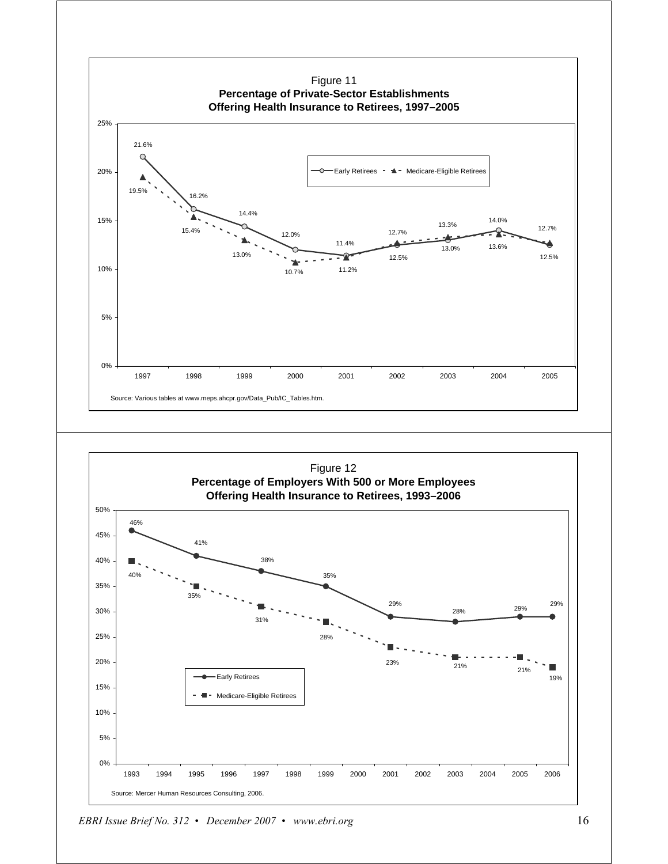



*EBRI Issue Brief No. 312 • December 2007 • www.ebri.org* 16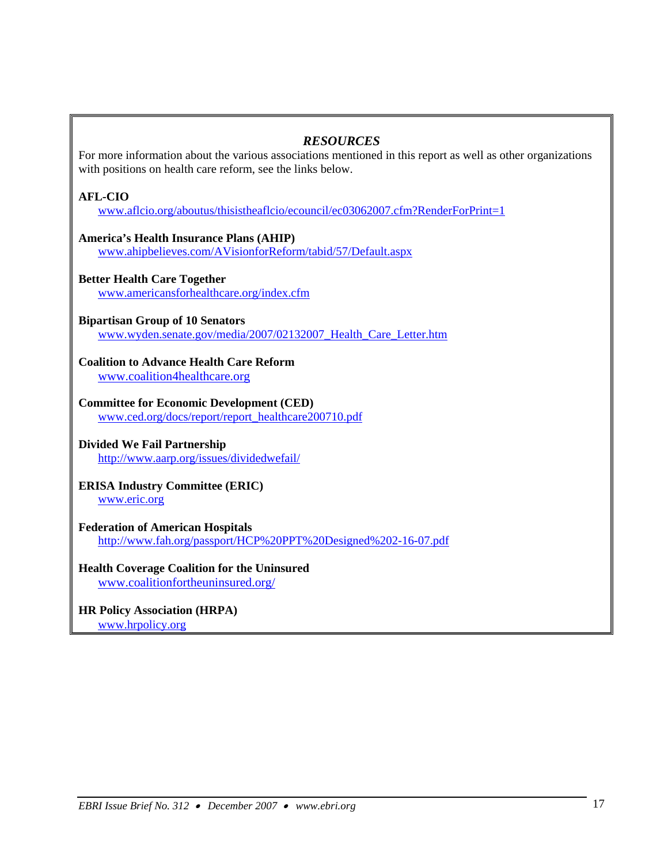#### *RESOURCES*

For more information about the various associations mentioned in this report as well as other organizations with positions on health care reform, see the links below.

#### **AFL-CIO**

www.aflcio.org/aboutus/thisistheaflcio/ecouncil/ec03062007.cfm?RenderForPrint=1

**America's Health Insurance Plans (AHIP)**  www.ahipbelieves.com/AVisionforReform/tabid/57/Default.aspx

#### **Better Health Care Together**  www.americansforhealthcare.org/index.cfm

**Bipartisan Group of 10 Senators**  www.wyden.senate.gov/media/2007/02132007\_Health\_Care\_Letter.htm

#### **Coalition to Advance Health Care Reform**  www.coalition4healthcare.org

**Committee for Economic Development (CED)**  www.ced.org/docs/report/report\_healthcare200710.pdf

#### **Divided We Fail Partnership**  http://www.aarp.org/issues/dividedwefail/

#### **ERISA Industry Committee (ERIC)**  www.eric.org

**Federation of American Hospitals**  http://www.fah.org/passport/HCP%20PPT%20Designed%202-16-07.pdf

#### **Health Coverage Coalition for the Uninsured**  www.coalitionfortheuninsured.org/

#### **HR Policy Association (HRPA)**  www.hrpolicy.org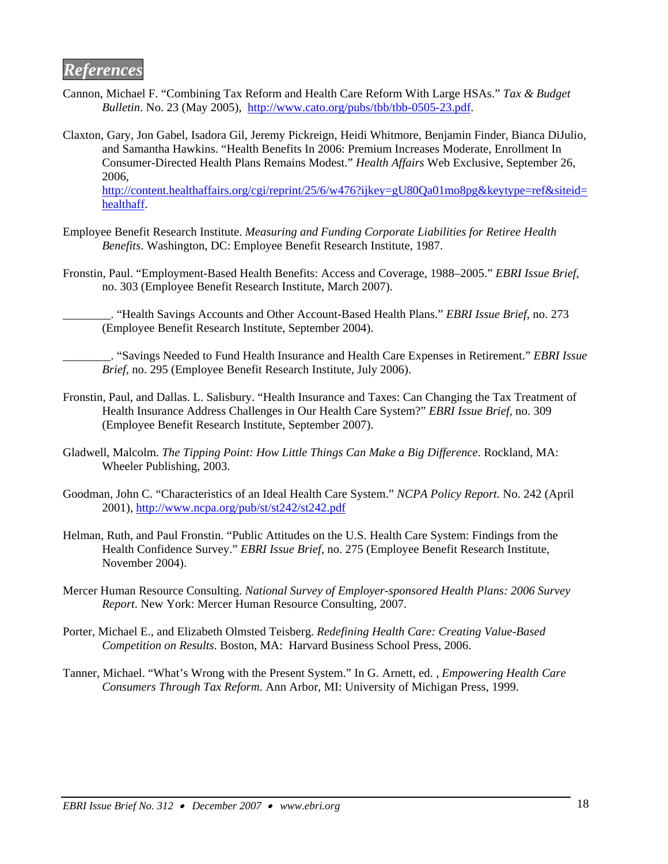## *References*

- Cannon, Michael F. "Combining Tax Reform and Health Care Reform With Large HSAs." *Tax & Budget Bulletin*. No. 23 (May 2005), http://www.cato.org/pubs/tbb/tbb-0505-23.pdf.
- Claxton, Gary, Jon Gabel, Isadora Gil, Jeremy Pickreign, Heidi Whitmore, Benjamin Finder, Bianca DiJulio, and Samantha Hawkins. "Health Benefits In 2006: Premium Increases Moderate, Enrollment In Consumer-Directed Health Plans Remains Modest." *Health Affairs* Web Exclusive, September 26, 2006, http://content.healthaffairs.org/cgi/reprint/25/6/w476?ijkey=gU80Qa01mo8pg&keytype=ref&siteid= healthaff.
- Employee Benefit Research Institute. *Measuring and Funding Corporate Liabilities for Retiree Health Benefits*. Washington, DC: Employee Benefit Research Institute, 1987.
- Fronstin, Paul. "Employment-Based Health Benefits: Access and Coverage, 1988–2005." *EBRI Issue Brief,* no. 303 (Employee Benefit Research Institute, March 2007).

\_\_\_\_\_\_\_\_. "Health Savings Accounts and Other Account-Based Health Plans." *EBRI Issue Brief*, no. 273 (Employee Benefit Research Institute, September 2004).

\_\_\_\_\_\_\_\_. "Savings Needed to Fund Health Insurance and Health Care Expenses in Retirement." *EBRI Issue Brief,* no. 295 (Employee Benefit Research Institute, July 2006).

- Fronstin, Paul, and Dallas. L. Salisbury. "Health Insurance and Taxes: Can Changing the Tax Treatment of Health Insurance Address Challenges in Our Health Care System?" *EBRI Issue Brief,* no. 309 (Employee Benefit Research Institute, September 2007).
- Gladwell, Malcolm. *The Tipping Point: How Little Things Can Make a Big Difference*. Rockland, MA: Wheeler Publishing, 2003.
- Goodman, John C. "Characteristics of an Ideal Health Care System." *NCPA Policy Report.* No. 242 (April 2001), http://www.ncpa.org/pub/st/st242/st242.pdf
- Helman, Ruth, and Paul Fronstin. "Public Attitudes on the U.S. Health Care System: Findings from the Health Confidence Survey." *EBRI Issue Brief,* no. 275 (Employee Benefit Research Institute, November 2004).
- Mercer Human Resource Consulting. *National Survey of Employer-sponsored Health Plans: 2006 Survey Report*. New York: Mercer Human Resource Consulting, 2007.
- Porter, Michael E., and Elizabeth Olmsted Teisberg. *Redefining Health Care: Creating Value-Based Competition on Results*. Boston, MA: Harvard Business School Press, 2006.
- Tanner, Michael. "What's Wrong with the Present System." In G. Arnett, ed. , *Empowering Health Care Consumers Through Tax Reform*. Ann Arbor, MI: University of Michigan Press, 1999.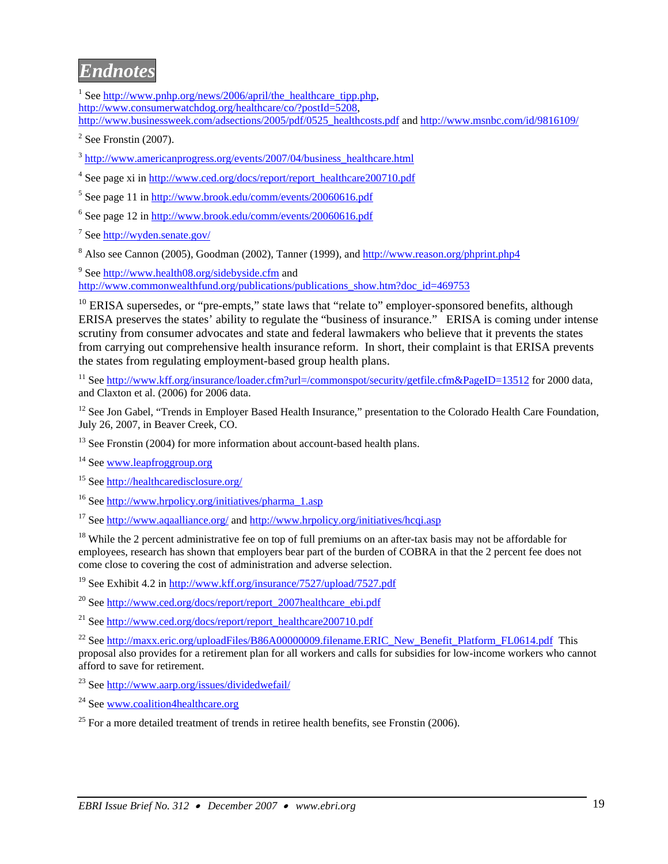## *Endnotes*

<sup>1</sup> See http://www.pnhp.org/news/2006/april/the\_healthcare\_tipp.php, http://www.consumerwatchdog.org/healthcare/co/?postId=5208, http://www.businessweek.com/adsections/2005/pdf/0525\_healthcosts.pdf and http://www.msnbc.com/id/9816109/

 $2$  See Fronstin (2007).

 $3 \text{ http://www.americanprogress.org/events/2007/04/business-healthcare.html}$ 

<sup>4</sup> See page xi in http://www.ced.org/docs/report/report\_healthcare200710.pdf

<sup>5</sup> See page 11 in http://www.brook.edu/comm/events/20060616.pdf

<sup>6</sup> See page 12 in http://www.brook.edu/comm/events/20060616.pdf

<sup>7</sup> See http://wyden.senate.gov/

<sup>8</sup> Also see Cannon (2005), Goodman (2002), Tanner (1999), and http://www.reason.org/phprint.php4

<sup>9</sup> See http://www.health08.org/sidebyside.cfm and

http://www.commonwealthfund.org/publications/publications\_show.htm?doc\_id=469753

<sup>10</sup> ERISA supersedes, or "pre-empts," state laws that "relate to" employer-sponsored benefits, although ERISA preserves the states' ability to regulate the "business of insurance." ERISA is coming under intense scrutiny from consumer advocates and state and federal lawmakers who believe that it prevents the states from carrying out comprehensive health insurance reform. In short, their complaint is that ERISA prevents the states from regulating employment-based group health plans.

<sup>11</sup> See http://www.kff.org/insurance/loader.cfm?url=/commonspot/security/getfile.cfm&PageID=13512 for 2000 data. and Claxton et al. (2006) for 2006 data.

<sup>12</sup> See Jon Gabel, "Trends in Employer Based Health Insurance," presentation to the Colorado Health Care Foundation, July 26, 2007, in Beaver Creek, CO.

<sup>13</sup> See Fronstin (2004) for more information about account-based health plans.

<sup>14</sup> See www.leapfroggroup.org

15 See http://healthcaredisclosure.org/

<sup>16</sup> See http://www.hrpolicy.org/initiatives/pharma\_1.asp

17 See http://www.aqaalliance.org/ and http://www.hrpolicy.org/initiatives/hcqi.asp

 $18$  While the 2 percent administrative fee on top of full premiums on an after-tax basis may not be affordable for employees, research has shown that employers bear part of the burden of COBRA in that the 2 percent fee does not come close to covering the cost of administration and adverse selection.

<sup>19</sup> See Exhibit 4.2 in http://www.kff.org/insurance/7527/upload/7527.pdf

<sup>20</sup> See http://www.ced.org/docs/report/report\_2007healthcare\_ebi.ndf

<sup>21</sup> See http://www.ced.org/docs/report/report\_healthcare200710.pdf

<sup>22</sup> See http://maxx.eric.org/uploadFiles/B86A00000009.filename.ERIC\_New\_Benefit\_Platform\_FL0614.pdf This proposal also provides for a retirement plan for all workers and calls for subsidies for low-income workers who cannot afford to save for retirement.

23 See http://www.aarp.org/issues/dividedwefail/

<sup>24</sup> See www.coalition4healthcare.org

 $25$  For a more detailed treatment of trends in retiree health benefits, see Fronstin (2006).